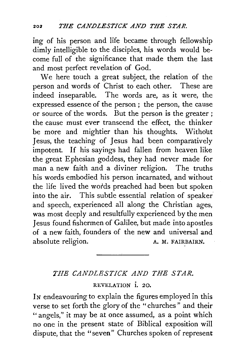ing of his person and life became through fellowship dimly intelligible to the disciples, his words would become full of the significance that made them the last and most perfect revelation of God.

We here touch a great subject, the relation of the person and words of Christ to each other. These are indeed inseparable. The words are, as it were, the expressed essence of the person ; the person, the cause or source of the words. But the person is the greater ; the cause must ever transcend the effect, the thinker be more and mightier than his thoughts. Without Jesus, the teaching of Jesus had been comparatively impotent. If his sayings had fallen from heaven like the great E phesian goddess, they had never made for man a new faith and a diviner religion. The truths his words embodied his person incarnated, and without the life lived the words preached had been but spoken into the air. This subtle essential relation of speaker. and speech, experienced all along the Christian ages, was most deeply and resultfully experienced by the men Jesus found fishermen of Galilee, but made into apostles of a new faith, founders of the new and universal and absolute religion. A. M. FAIRBAIRN.

## *THE CANDLESTICK AND THE STAR.*

REVELATION i. 20.

IN endeavouring to explain the figures employed in this verse to set forth the glory of the "churches" and their "angels," it may be at once assumed, as a point which no one in the present state of Biblical exposition will dispute, that the "seven" Churches spoken of represent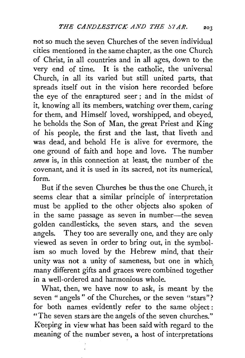not so much the seven Churches of the seven individual cities mentioned in the same chapter, as the one Church of Christ, in all countries and in all ages, down to the very end of time. It is the catholic, the universal Church, in all its varied but still united parts, that spreads itself out in the vision here recorded before the eye of the enraptured seer ; and in the midst of it, knowing all its members, watching over them, caring for them, and Himself loved, worshipped, and obeyed, he beholds the Son of Man, the great Priest and King of his people, the first and the last, that liveth and was dead, and behold He is alive for evermore, the one ground of faith and hope and love. The number *seven* is, in this connection at least, the number of the covenant, and it is used in its sacred, not its numerical, form.

But if the seven Churches be thus the one Church, it seems clear that a similar principle of interpretation must be applied to the other objects also spoken of in the same passage as seven in number-the seven golden candlesticks, the seven stars, and the seven angels. They too are severally one, and they are only viewed as seven in order to bring out, in the symbolism so much loved by the Hebrew mind, that their unity was not a unity of sameness, but one in which many different gifts and graces were combined together in a well-ordered and harmonious whole.

What, then, we have now to ask, is meant by the seven " angels" of the Churches, or the seven "stars"? for both names evidently refer to the same object: "The seven stars are the angels of the seven churches." Keeping in view what has been said with regard to the meaning of the number seven, a host of interpretations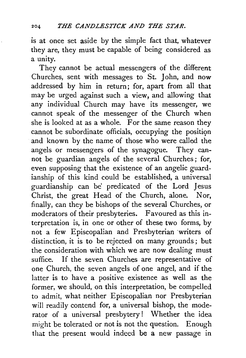is at once set aside by the simple fact that, whatever they are, they must be capable of being considered as a unity.

They cannot be actual messengers of the different Churches, sent with messages to St. John, and now addressed by him in return; for, apart from all that may be urged against such a view, and allowing that any individual Church may have its messenger, we cannot speak of the messenger of the Church when she is looked at as a whole. For the same reason they cannot be subordinate officials, occupying the position and known by the name of those who were called the angels or messengers of the synagogue. They cannot be guardian angels of the several Churches; for, even supposing that the existence of an angelic guardianship of this kind could be established, a universal guardianship can be' predicated of the Lord Jesus Christ, the great Head of the Church, alone. Nor, finally, can they be bishops of the several Churches, or moderators of their presbyteries. Favoured as this interpretation is, in one or other of these two forms, by not a few Episcopalian and Presbyterian writers of distinction, it is to be rejected on many grounds; but the consideration with which we are now dealing must suffice. If the seven Churches are representative of one Church, the seven angels of one angel, and if the latter is to have a positive existence as well as the former, we should, on this interpretation, be compelled to admit, what neither Episcopalian nor Presbyterian will readily contend for, a universal bishop, the moderator of a universal presbytery! Whether the idea might be tolerated or not is not the question. Enough that the present would indeed be a new passage in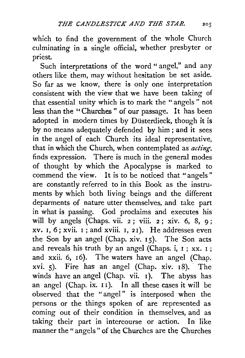which to find the government of the whole Church culminating in a single official, whether presbyter or priest.

Such interpretations of the word " angel," and any others like them, may without hesitation be set aside. So far as we know, there is only one interpretation consistent with the view that we have been taking of that essential unity which is to mark the "angels " not less than the " Churches " of our passage. It has been adopted in modern times by Düsterdieck, though it is by no means adequately defended by him; and it sees in the angel of each Church its ideal representative, that in which the Church, when contemplated as *acting,*  finds expression. There is much in the general modes of thought by which the Apocalypse is marked to commend the view. It is to be noticed that "angels " are constantly referred to in this Book as the instruments by which both living beings and the different deparments of nature utter themselves, and take part in what is passing. God proclaims and executes his will by angels (Chaps. vii. 2 ; viii. 2 ; xiv. 6, 8, 9; xv. I, 6; xvii. I; and xviii. I, 2I). He addresses even the Son by an angel (Chap. xiv.  $15$ ). The Son acts and reveals his truth by an angel (Chaps. i,  $1$ ; xx.  $1$ ; and xxii. 6, 16). The waters have an angel (Chap. xvi. 5). Fire has an angel (Chap. xiv.  $18$ ). The winds have an angel (Chap. vii. 1). The abyss has an angel (Chap. ix. 11). In all these cases it will be observed that the "angel" is interposed when the persons or the things spoken of are represented as coming out of their condition in themselves, and as taking their part in intercourse or action. In like manner the "angels" of the Churches are the Churches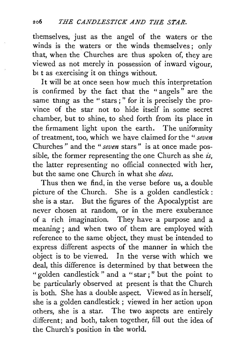themselves, just as the angel of the waters or the winds is the waters or the winds themselves; only that, when the Churches are thus spoken of, they are viewed as not merely in possession of inward vigour, bt t as exercising it on things without.

It will be at once seen how much this interpretation is confirmed by the fact that the " angels " are the same thmg as the " stars ; " for it is precisely the province of the star not to hide itself in some secret chamber, but to shine, to shed forth from its place in the firmament light upon the earth. The uniformity of treatment, too, which we have claimed for the *"seven*  Churches " and the " *seven* stars" is at once made possible, the former representing the one Church as she *is*, the latter representing no official connected with her, but the same one Church in what she *does.* 

Thus then we find, in the verse before us, a double picture of the Church. She is a golden candlestick : she is a star. But the figures of the Apocalyptist are never chosen at random, or in the mere exuberance of a rich imagination. They have a purpose and a meaning ; and when two of them are employed with reference to the same object, they must be intended to express different aspects of the manner in which the object is to be viewed. In the verse with which we deal, this difference is determined by that between the "golden candlestick" and a "star;" but the point to be particularly observed at present is that the Church is both. She has a double aspect. Viewed as in herself, she is a golden candlestick ; viewed in her action upon others, she is a star. The two aspects are entirely different; and both, taken together, fill out the idea of the Church's position in the world.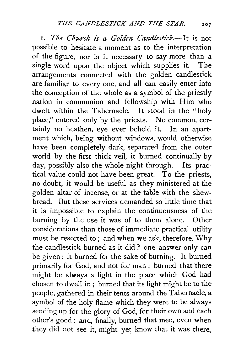I. *The Church is a Golden Candlestick.-!* t is not possible to hesitate a moment as to the. interpretation of the figure, nor is it necessary to say more than a single word upon the object which supplies it. The arrangements connected with the golden candlestick are familiar to every one, and all can easily enter into the conception of the whole as a symbol of the priestly nation in communion and fellowship with Him who dwelt within the Tabernacle. It stood in the "holy place," entered only by the priests. No common, certainly no heathen, eye ever beheld it. In an apartment which, being without windows, would otherwise have been completely dark, separated from the outer world by the first thick veil, it burned continually by day, possibly also the whole night through. Its practical value could not have been great. To the priests, no doubt, it would be useful as they ministered at the golden altar of incense, or at the table with the shewbread. But these services demanded so little time that it is impossible to explain the continuousness of the burning by the use it was of to them alone. Other considerations than those of immediate practical utility must be resorted to ; and when we ask, therefore, Why the candlestick burned as it did ? one answer only can be given: it burned for the sake of burning. It burned primarily for God, and not for man; burned that there might be always a light in the place which God had chosen to dwell in ; burned that its light might be to the people, gathered in their tents around the Tabernacle, a symbol of the holy flame which they were to be always sending up for the glory of God, for their own and each other's good; and, finally, burned that men, even when they did not see it, might yet know that it was there.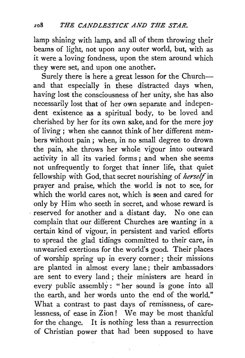lamp shining with lamp, and all of them throwing their beams of light, not upon any outer world, but, with as it were a loving fondness, upon the stem around which they were set, and upon one another.

Surely there is here a great lesson for the Church-and that especially in these distracted days when, having lost the consciousness of her unity, she has also necessarily lost that of her own separate and independent existence as a spiritual body, to be loved and cherished by her for its own sake, and for the mere joy of living *;* when she cannot think of her different members without pain ; when, in no small degree to drown the pain, she throws her whole vigour into outward activity in all its varied forms; and when she seems not unfrequently to forget that inner life, that quiet fellowship with God, that secret nourishing of *herself* in prayer and praise, which the world is not to see, for which the world cares not, which is seen and cared for only by Him who seeth in secret, and whose reward is · reserved for another and a distant day. No one can complain that our different Churches are wanting in a certain kind of vigour, in persistent and varied efforts to spread the glad tidings committed to their care, in unwearied exertions for the world's good. Their places of worship spring up in every corner ; their missions are planted in almost every lane; their ambassadors· are sent to every land ; their ministers are heard in every public assembly: " her sound is gone into all the earth, and her words unto the end of the world." What a contrast to past days of remissness, of carelessness, of ease in Zion ! We may be most thankful for the change. It is nothing less than a resurrection of Christian power that had been supposed to have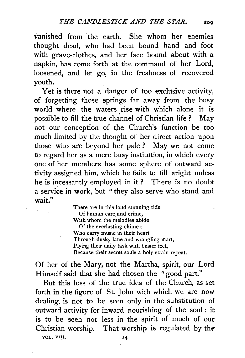vanished from the earth. She whom her enemies thought dead, who had been bound hand and foot with grave-clothes, and her face bound about with a napkin, has come forth at the command of her Lord, loosened, and let go, in the freshness of recovered youth.

Yet is there not a danger of too exclusive activity, of forgetting those springs far away from the busy world where the waters rise with which alone it is possible to fill the true channel of Christian life ? May not our conception of the Church's function be too much limited by the thought of her direct action upon those who are beyond her pale ? May we not come fo regard her as a mere busy institution, in which every one of her members has some sphere of outward ac· tivity assigned him, which he fails to fill aright unless he is incessantly employed in it? There is no doubt a service in work, but "they also serve who stand and wait."

> There are in this loud stunning tide Of human care and crime, With whom the melodies abide Of the everlasting chime ; Who carry music in their heart Through dusky lane and wrangling mart, Plying their daily task with busier feet, Because their secret souls a holy strain repeat.

Of her of the Mary, not the Martha, spirit, our Lord Himself said that she had chosen the "good part."

But this loss of the true idea of the Church, as set forth in the figure of . St. John with which we are now dealing, is not to be seen only in the substitution of outward activity for inward nourishing of the soul : it is to be seen not less in the spirit of much of our Christian worship. That worship is regulated by *the-*YOL. VUI, 14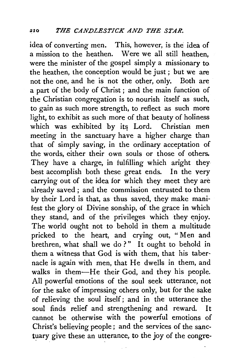idea of converting men. This, however, is the idea of a mission to the heathen. Were we all still heathen, were the minister of the gospel simply a missionary to the heathen, the conception would be just; but we are not the one, and he is not the other, only. Both are a part of the body of Christ ; and the main function of the Christian congregation is to nourish itself as such, to gain as such more strength, to reflect as such more light, to exhibit as such more of that beauty of holiness which was exhibited by its Lord. Christian men meeting in the sanctuary have a higher charge than that of simply saving, in the ordinary acceptation of the words, either their own souls or those of others, They have a charge, in fulfilling which aright they best accomplish both these great ends. In the very carrying out of the idea for which they meet they are already saved; and the commission entrusted to them by their Lord is that, as thus saved, they make manifest the glory oi Divine sonship, of the grace in which they stand, and of the privileges which they enjoy. The world ought not to behold in them a multitude pricked to the heart, and crying out, " Men and brethren, what shall we do?" It ought to behold in them a witness that God is with them, that his tabernacle is again with men, that He dwells in them, and walks in them-He their God, and they his people. All powerful emotions of the soul seek utterance, not for the sake of impressing others only, but for the sake of relieving the soul itself; and in the utterance the soul finds relief and strengthening and reward. It cannot be otherwise with the powerful emotions of Christ's believing people; and the services of the sanctuary give these an utterance, to the joy of the congre-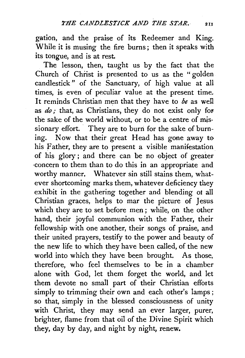gation, and the praise of its Redeemer and King. While it is musing the fire burns; then it speaks with its tongue, and is at rest.

The lesson, then, taught us by the fact that the Church of Christ is presented to us as the " golden candlestick" of the Sanctuary, of high value at all times, is even of peculiar value at the present time. It reminds Christian men that they have to *be* as well as *do*; that, as Christians, they do not exist only for the sake of the world without, or to be a centre of missionary effort. They are to burn for the sake of burning. Now that their great Head has gone away to his Father, they are to present a visible manifestation of his glory ; and there can be no object of greater ·concern to them than to do this in an appropriate and worthy manner. Whatever sin still stains them, whatever shortcoming marks them, whatever deficiency they exhibit in the gathering together and blending ot all Christian graces, helps to mar the picture of Jesus which they are to set before men; while, on the other hand, their joyful communion with the Father, their fellowship with one another, their songs of praise, and their united prayers, testify to the power and beauty of the new life to which they have been called, of the new world into which they have been brought. As those, therefore, who feel themselves to be in a chamber alone with God, let them forget the world, and let them devote no small part of their Christian efforts simply to trimming their own and each other's lamps; so that, simply in the blessed consciousness of unity with Christ, they may send an ever larger, purer, brighter, flame from that oil of the Divine Spirit which they, day by day, and night by night, renew.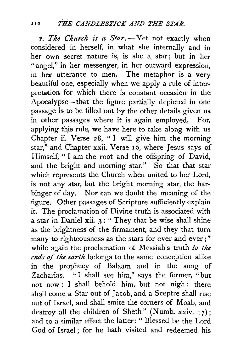2. The Church is a Star. - Yet not exactly when considered in herself, in what she internally and in her own secret nature is, is she a star ; but in her "angel," in her messenger, in her outward expression, in her utterance to men. The metaphor is a very beautiful one, especially when we apply a rule of interpretation for which there is constant occasion in the Apocalypse-that the figure partially depicted in one passage is to be filled out by the other details given us in other passages where it is again employed. For, applying this rule, we have here to take along with us Chapter ii. Verse 28, "I will give him the morning star," and Chapter xxii. Verse 16, where Jesus says of Himself, "I am the root and the offspring of David, and the bright and morning star." So that that star which represents the Church when united to her Lord, is not any star, but the bright morning star, the harbinger of day. Nor can we doubt the meaning of the figure. Other passages of Scripture sufficiently explain it. The proclamation of Divine truth is associated with a star in Daniel xii.  $3:$  "They that be wise shall shine as the brightness of the firmament, and they that turn many to righteousness as the stars for ever and ever;" while again the proclamation of Messiah's truth *to the ends* of *the earth* belongs to the same conception alike in the prophecy of Balaam and in the song of Zacharias. "I shall see him," says the former, "but not now : I shall behold him, but not nigh : there shall come a Star out of Jacob, and a Sceptre shall rise out of Israel, and shall smite the corners of Moab, and destroy all the children of Sheth" (Numb. xxiv.  $17$ ); and to a similar effect the latter: " Blessed be the Lord God of Israel; for he hath visited and redeemed his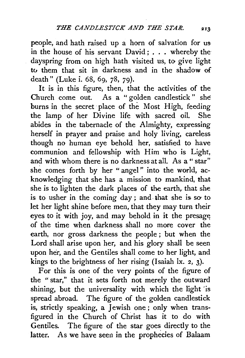people, and hath raised up a horn of salvation for usin the house of his servant David ; . . . whereby the dayspring from on high hath visited us, to give light tv them that sit in darkness and in the shadow of death" (Luke i. 68, 69, 78, 79).

It is in this figure, then, that the activities of the Church come out. As a "golden candlestick" she burns in the secret· place of the Most High, feeding the lamp of her Divine life with sacred oil. She abides in the tabernacle of the Almighty, expressing herself in ptayer and praise and holy living, careless though no human eye behold her, satisfied to have communion and fellowship with Him who is Light, and with whom there is no darkness at all. As a " star" she comes forth by her " angel" into the world, acknowledging that she has a mission to mankind, that she is to lighten the dark places of the earth, that she is to usher in the coming day ; and. that she is *sa* to let her light shine before men, that they may turn their eyes to it with joy, and may behold in it the presage of the time when darkness shall no more cover the earth, nor gross darkness the people ; but when the Lord shall arise upon her, and his glory shall be seen upon her, and the Gentiles shall come to her light, and kings to the brightness of her rising (Isaiah lx. 2, 3).

For this is one of the very points of the figure of the "star," that it sets forth not merely the outward shining, but the universality with which the light 'is spread abroad. The figure of the golden candlestick is, strictly speaking, a Jewish one ; only when transfigured in the Church of Christ has it to do with Gentiles. The figure of the star goes directly to the latter. As we have seen in the prophecies of Balaam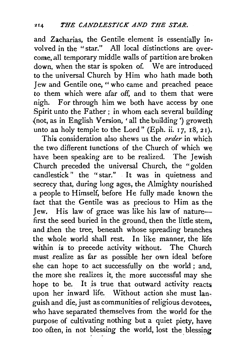and Zacharias, the Gentile element is essentially involved in the "star." All local distinctions are overcome, all temporary middle walls of partition are broken down, when the star is spoken of. We are introduced to the universal Church by Him who hath made both Jew and Gentile one, " who came and preached peace to them which were afar off, and to them that were nigh. For through him we both have access by one Spirit unto the Father; in whom each several building {not, as in English Version, 'all the building') groweth unto an holy temple to the Lord" (Eph. ii. 17, 18, 21).

This consideration also shews us the *order* in which the two different functions of the Church of which we have been speaking are to be realized. The Jewish Church preceded the universal Church, the "golden candlestick" the "star." It was in quietness and secrecy that, during long ages, the Almighty nourished a people to Himself, before He fully made known the fact that the Gentile was as precious to Him as the Jew. His law of grace was like his law of naturefirst the seed buried in the ground, then the little stem. and then the tree, beneath whose spreading branches the whole world shall rest. In like manner, the life within is to precede activity without. The Church must realize as far as possible her own ideal before she can hope to act successfully on the world; and, the more she realizes it, the more successful may she hope to be. It is true that outward activity reacts upon her inward life. Without action she must languish and die, just as communities of religious devotees, who have separated themselves from the world for the purpose of cultivating nothing but a quiet piety, have too often, in not blessing the world, lost the blessing